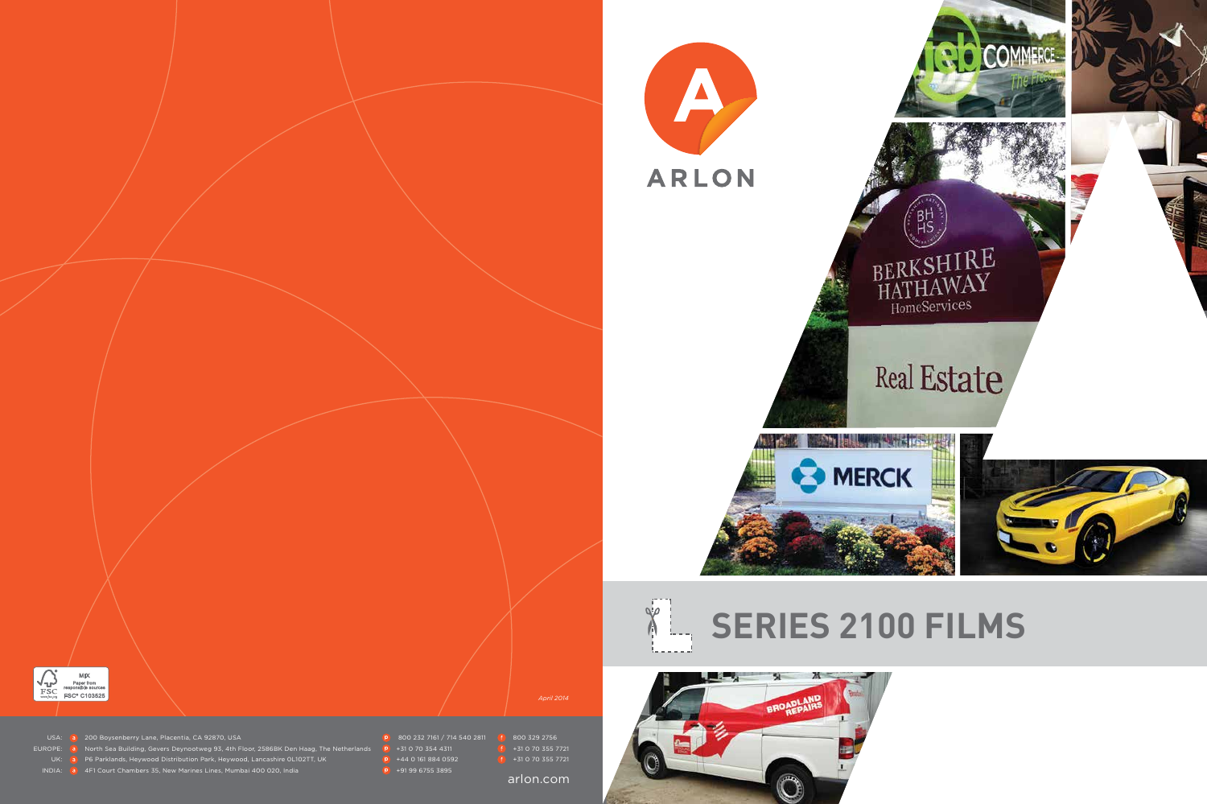







USA: **200 Boysenberry Lane, Placentia, CA 92870, USA** 800 232 7161 / 714 540 2811 **800 329 2756** 

- EUROPE: **a** North Sea Building, Gevers Deynootweg 93, 4th Floor, 2586BK Den Haag, The Netherlands **P** +31 0 70 354 4311
	- UK: **a** P6 Parklands, Heywood Distribution Park, Heywood, Lancashire 0L102TT, UK **+44 0 161 884 0592** +31 0 70 355 7721

INDIA: **a** 4F1 Court Chambers 35, New Marines Lines, Mumbai 400 020, India **+91 99 6755 3895** 

- 
- -

*April 2014*

arlon.com